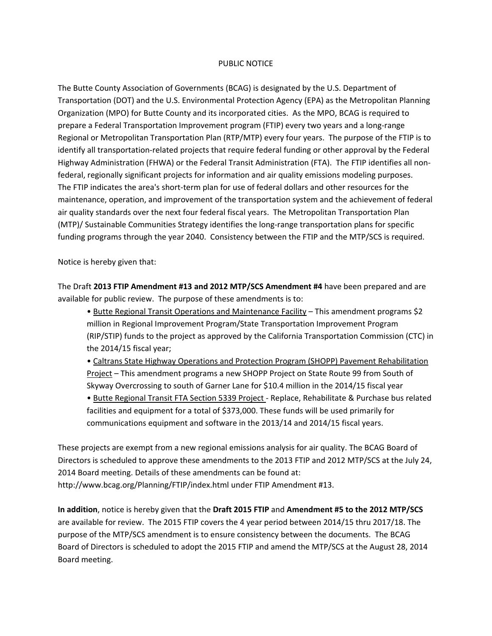## PUBLIC NOTICE

The Butte County Association of Governments (BCAG) is designated by the U.S. Department of Transportation (DOT) and the U.S. Environmental Protection Agency (EPA) as the Metropolitan Planning Organization (MPO) for Butte County and its incorporated cities. As the MPO, BCAG is required to prepare a Federal Transportation Improvement program (FTIP) every two years and a long-range Regional or Metropolitan Transportation Plan (RTP/MTP) every four years. The purpose of the FTIP is to identify all transportation‐related projects that require federal funding or other approval by the Federal Highway Administration (FHWA) or the Federal Transit Administration (FTA). The FTIP identifies all non‐ federal, regionally significant projects for information and air quality emissions modeling purposes. The FTIP indicates the area's short‐term plan for use of federal dollars and other resources for the maintenance, operation, and improvement of the transportation system and the achievement of federal air quality standards over the next four federal fiscal years. The Metropolitan Transportation Plan (MTP)/ Sustainable Communities Strategy identifies the long-range transportation plans for specific funding programs through the year 2040. Consistency between the FTIP and the MTP/SCS is required.

Notice is hereby given that:

The Draft **2013 FTIP Amendment #13 and 2012 MTP/SCS Amendment #4** have been prepared and are available for public review. The purpose of these amendments is to:

• Butte Regional Transit Operations and Maintenance Facility – This amendment programs \$2 million in Regional Improvement Program/State Transportation Improvement Program (RIP/STIP) funds to the project as approved by the California Transportation Commission (CTC) in the 2014/15 fiscal year;

• Caltrans State Highway Operations and Protection Program (SHOPP) Pavement Rehabilitation Project – This amendment programs a new SHOPP Project on State Route 99 from South of Skyway Overcrossing to south of Garner Lane for \$10.4 million in the 2014/15 fiscal year

• Butte Regional Transit FTA Section 5339 Project ‐ Replace, Rehabilitate & Purchase bus related facilities and equipment for a total of \$373,000. These funds will be used primarily for communications equipment and software in the 2013/14 and 2014/15 fiscal years.

These projects are exempt from a new regional emissions analysis for air quality. The BCAG Board of Directors is scheduled to approve these amendments to the 2013 FTIP and 2012 MTP/SCS at the July 24, 2014 Board meeting. Details of these amendments can be found at: http://www.bcag.org/Planning/FTIP/index.html under FTIP Amendment #13.

**In addition**, notice is hereby given that the **Draft 2015 FTIP** and **Amendment #5 to the 2012 MTP/SCS** are available for review. The 2015 FTIP covers the 4 year period between 2014/15 thru 2017/18. The purpose of the MTP/SCS amendment is to ensure consistency between the documents. The BCAG Board of Directors is scheduled to adopt the 2015 FTIP and amend the MTP/SCS at the August 28, 2014 Board meeting.